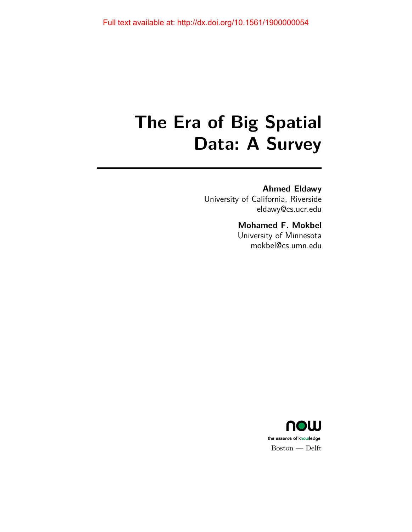# **The Era of Big Spatial Data: A Survey**

### **Ahmed Eldawy**

University of California, Riverside eldawy@cs.ucr.edu

### **Mohamed F. Mokbel**

University of Minnesota mokbel@cs.umn.edu

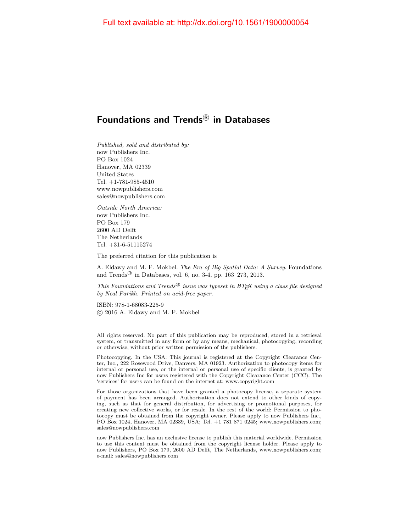### **Foundations and Trends <sup>R</sup> in Databases**

*Published, sold and distributed by:* now Publishers Inc. PO Box 1024 Hanover, MA 02339 United States Tel. +1-781-985-4510 www.nowpublishers.com sales@nowpublishers.com

*Outside North America:* now Publishers Inc. PO Box 179 2600 AD Delft The Netherlands Tel. +31-6-51115274

The preferred citation for this publication is

A. Eldawy and M. F. Mokbel. *The Era of Big Spatial Data: A Survey*. Foundations and Trends<sup>®</sup> in Databases, vol. 6, no. 3-4, pp. 163-273, 2013.

*This Foundations and Trends* <sup>R</sup> *issue was typeset in LATEX using a class file designed by Neal Parikh. Printed on acid-free paper.*

ISBN: 978-1-68083-225-9 c 2016 A. Eldawy and M. F. Mokbel

All rights reserved. No part of this publication may be reproduced, stored in a retrieval system, or transmitted in any form or by any means, mechanical, photocopying, recording or otherwise, without prior written permission of the publishers.

Photocopying. In the USA: This journal is registered at the Copyright Clearance Center, Inc., 222 Rosewood Drive, Danvers, MA 01923. Authorization to photocopy items for internal or personal use, or the internal or personal use of specific clients, is granted by now Publishers Inc for users registered with the Copyright Clearance Center (CCC). The 'services' for users can be found on the internet at: www.copyright.com

For those organizations that have been granted a photocopy license, a separate system of payment has been arranged. Authorization does not extend to other kinds of copying, such as that for general distribution, for advertising or promotional purposes, for creating new collective works, or for resale. In the rest of the world: Permission to photocopy must be obtained from the copyright owner. Please apply to now Publishers Inc., PO Box 1024, Hanover, MA 02339, USA; Tel. +1 781 871 0245; www.nowpublishers.com; sales@nowpublishers.com

now Publishers Inc. has an exclusive license to publish this material worldwide. Permission to use this content must be obtained from the copyright license holder. Please apply to now Publishers, PO Box 179, 2600 AD Delft, The Netherlands, www.nowpublishers.com; e-mail: sales@nowpublishers.com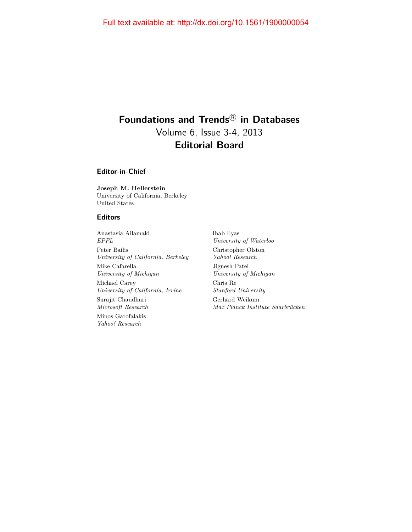### **Foundations and Trends <sup>R</sup> in Databases** Volume 6, Issue 3-4, 2013 **Editorial Board**

**Editor-in-Chief**

**Joseph M. Hellerstein** University of California, Berkeley United States

#### **Editors**

Anastasia Ailamaki *EPFL* Peter Bailis *University of California, Berkeley* Mike Cafarella *University of Michigan* Michael Carey *University of California, Irvine* Surajit Chaudhuri *Microsoft Research* Minos Garofalakis *Yahoo! Research*

Ihab Ilyas *University of Waterloo* Christopher Olston *Yahoo! Research* Jignesh Patel *University of Michigan* Chris Re *Stanford University* Gerhard Weikum *Max Planck Institute Saarbrücken*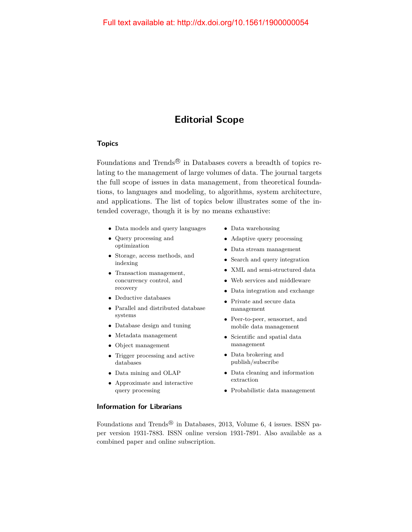### **Editorial Scope**

#### **Topics**

Foundations and Trends<sup>®</sup> in Databases covers a breadth of topics relating to the management of large volumes of data. The journal targets the full scope of issues in data management, from theoretical foundations, to languages and modeling, to algorithms, system architecture, and applications. The list of topics below illustrates some of the intended coverage, though it is by no means exhaustive:

- Data models and query languages
- Query processing and optimization
- Storage, access methods, and indexing
- Transaction management, concurrency control, and recovery
- Deductive databases
- Parallel and distributed database systems
- Database design and tuning
- Metadata management
- Object management
- Trigger processing and active databases
- Data mining and OLAP
- Approximate and interactive query processing
- **Information for Librarians**
- Data warehousing
- Adaptive query processing
- Data stream management
- Search and query integration
- XML and semi-structured data
- Web services and middleware
- Data integration and exchange
- Private and secure data management
- Peer-to-peer, sensornet, and mobile data management
- Scientific and spatial data management
- Data brokering and publish/subscribe
- Data cleaning and information extraction
- Probabilistic data management

Foundations and Trends<sup>®</sup> in Databases, 2013, Volume 6, 4 issues. ISSN paper version 1931-7883. ISSN online version 1931-7891. Also available as a combined paper and online subscription.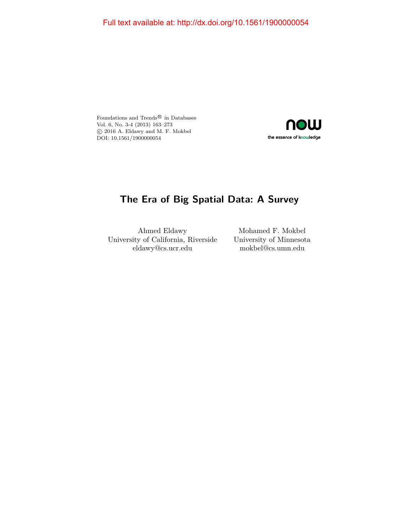Foundations and  $\operatorname{Trends}^{\circledR}$  in Databases Vol. 6, No. 3-4 (2013) 163–273 c 2016 A. Eldawy and M. F. Mokbel DOI: 10.1561/1900000054



### **The Era of Big Spatial Data: A Survey**

Ahmed Eldawy University of California, Riverside eldawy@cs.ucr.edu

Mohamed F. Mokbel University of Minnesota mokbel@cs.umn.edu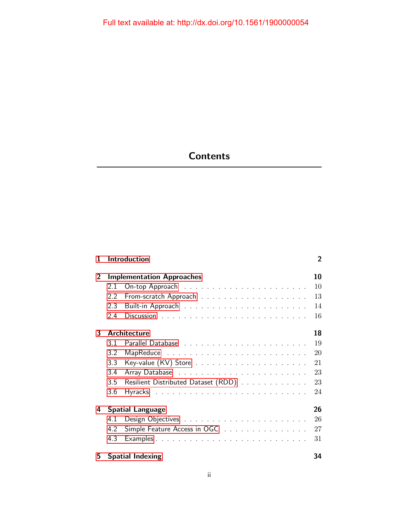## **Contents**

| 1  | $\overline{2}$<br><b>Introduction</b> |                                     |    |  |  |  |  |  |  |  |  |
|----|---------------------------------------|-------------------------------------|----|--|--|--|--|--|--|--|--|
| 2  |                                       | <b>Implementation Approaches</b>    | 10 |  |  |  |  |  |  |  |  |
|    | 2.1                                   |                                     | 10 |  |  |  |  |  |  |  |  |
|    | 2.2                                   |                                     | 13 |  |  |  |  |  |  |  |  |
|    | 2.3                                   |                                     | 14 |  |  |  |  |  |  |  |  |
|    | 2.4                                   |                                     | 16 |  |  |  |  |  |  |  |  |
| 3  |                                       | <b>Architecture</b>                 | 18 |  |  |  |  |  |  |  |  |
|    | 3.1                                   |                                     | 19 |  |  |  |  |  |  |  |  |
|    | 3.2                                   |                                     | 20 |  |  |  |  |  |  |  |  |
|    | 3.3                                   |                                     | 21 |  |  |  |  |  |  |  |  |
|    | 3.4                                   |                                     | 23 |  |  |  |  |  |  |  |  |
|    | 3.5                                   | Resilient Distributed Dataset (RDD) | 23 |  |  |  |  |  |  |  |  |
|    | 3.6                                   |                                     | 24 |  |  |  |  |  |  |  |  |
| 4  |                                       | <b>Spatial Language</b>             | 26 |  |  |  |  |  |  |  |  |
|    | 4.1                                   |                                     | 26 |  |  |  |  |  |  |  |  |
|    | 4.2                                   | Simple Feature Access in OGC        | 27 |  |  |  |  |  |  |  |  |
|    | 4.3                                   |                                     | 31 |  |  |  |  |  |  |  |  |
| 5. |                                       | <b>Spatial Indexing</b>             | 34 |  |  |  |  |  |  |  |  |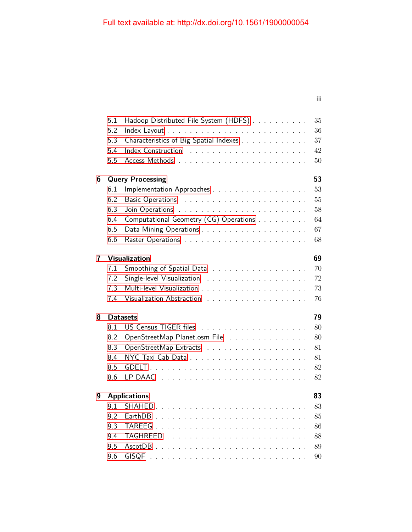iii

|   | 5.1 | Hadoop Distributed File System (HDFS)                                   | 35     |
|---|-----|-------------------------------------------------------------------------|--------|
|   | 5.2 |                                                                         | 36     |
|   | 5.3 | Characteristics of Big Spatial Indexes                                  | 37     |
|   | 5.4 |                                                                         | 42     |
|   | 5.5 |                                                                         | 50     |
| 6 |     | <b>Query Processing</b>                                                 | 53     |
|   | 6.1 | Implementation Approaches                                               | 53     |
|   | 6.2 |                                                                         | $55\,$ |
|   | 6.3 |                                                                         | 58     |
|   | 6.4 | Computational Geometry (CG) Operations                                  | 64     |
|   | 6.5 |                                                                         | 67     |
|   | 6.6 |                                                                         | 68     |
| 7 |     | <b>Visualization</b>                                                    | 69     |
|   | 7.1 | Smoothing of Spatial Data                                               | 70     |
|   | 7.2 |                                                                         | 72     |
|   | 7.3 |                                                                         | 73     |
|   | 7.4 |                                                                         | 76     |
| 8 |     | <b>Datasets</b>                                                         | 79     |
|   | 8.1 |                                                                         | 80     |
|   | 8.2 | OpenStreetMap Planet.osm File                                           | 80     |
|   | 8.3 |                                                                         | 81     |
|   | 8.4 |                                                                         | 81     |
|   | 8.5 |                                                                         | 82     |
|   | 8.6 |                                                                         | 82     |
| 9 |     | <b>Applications</b>                                                     | 83     |
|   |     | 9.1 SHAHED.<br>design as a straightforward of the state of the state of | $83\,$ |
|   | 9.2 | EarthDB                                                                 | 85     |
|   | 9.3 | TAREEG.<br>.                                                            | 86     |
|   | 9.4 |                                                                         | 88     |
|   | 9.5 | $AscotDB$                                                               | 89     |
|   | 9.6 |                                                                         | 90     |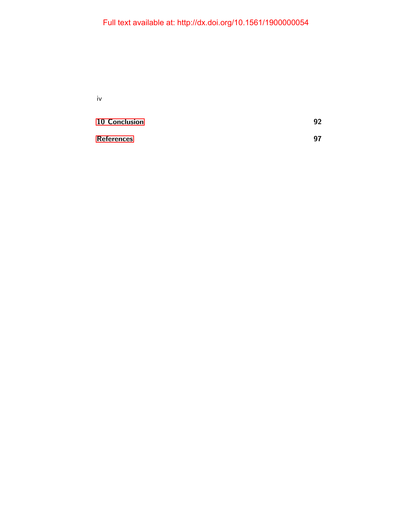iv

| 10 Conclusion     | 92 |
|-------------------|----|
| <b>References</b> | 97 |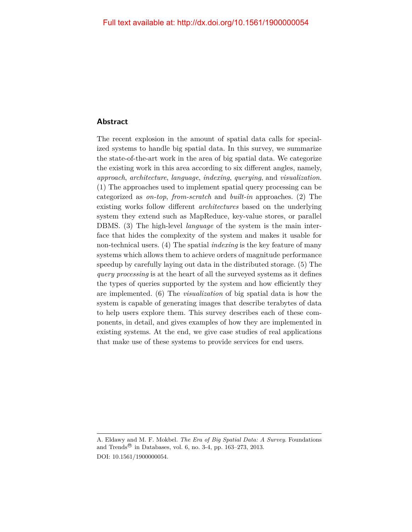#### **Abstract**

The recent explosion in the amount of spatial data calls for specialized systems to handle big spatial data. In this survey, we summarize the state-of-the-art work in the area of big spatial data. We categorize the existing work in this area according to six different angles, namely, *approach*, *architecture*, *language*, *indexing*, *querying*, and *visualization*. (1) The approaches used to implement spatial query processing can be categorized as *on-top*, *from-scratch* and *built-in* approaches. (2) The existing works follow different *architectures* based on the underlying system they extend such as MapReduce, key-value stores, or parallel DBMS. (3) The high-level *language* of the system is the main interface that hides the complexity of the system and makes it usable for non-technical users. (4) The spatial *indexing* is the key feature of many systems which allows them to achieve orders of magnitude performance speedup by carefully laying out data in the distributed storage. (5) The *query processing* is at the heart of all the surveyed systems as it defines the types of queries supported by the system and how efficiently they are implemented. (6) The *visualization* of big spatial data is how the system is capable of generating images that describe terabytes of data to help users explore them. This survey describes each of these components, in detail, and gives examples of how they are implemented in existing systems. At the end, we give case studies of real applications that make use of these systems to provide services for end users.

A. Eldawy and M. F. Mokbel. *The Era of Big Spatial Data: A Survey*. Foundations and Trends<sup>®</sup> in Databases, vol. 6, no. 3-4, pp. 163–273, 2013. DOI: 10.1561/1900000054.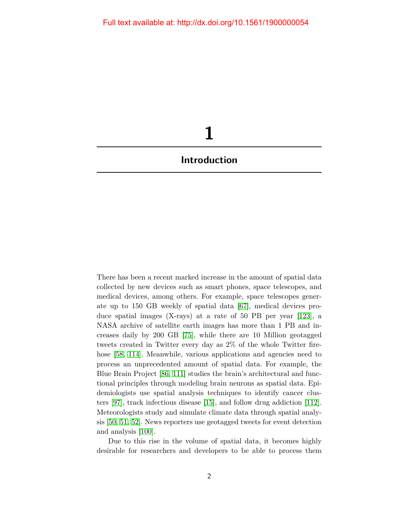# **1**

### <span id="page-9-0"></span>**Introduction**

There has been a recent marked increase in the amount of spatial data collected by new devices such as smart phones, space telescopes, and medical devices, among others. For example, space telescopes generate up to 150 GB weekly of spatial data [\[67\]](#page-24-0), medical devices produce spatial images (X-rays) at a rate of 50 PB per year [\[123\]](#page-29-0), a NASA archive of satellite earth images has more than 1 PB and increases daily by 200 GB [\[75\]](#page-24-1), while there are 10 Million geotagged tweets created in Twitter every day as 2% of the whole Twitter fire-hose [\[58,](#page-23-0) [114\]](#page-28-0). Meanwhile, various applications and agencies need to process an unprecedented amount of spatial data. For example, the Blue Brain Project [\[86,](#page-26-0) [111\]](#page-28-1) studies the brain's architectural and functional principles through modeling brain neurons as spatial data. Epidemiologists use spatial analysis techniques to identify cancer clusters [\[97\]](#page-27-0), track infectious disease [\[15\]](#page-19-0), and follow drug addiction [\[112\]](#page-28-2). Meteorologists study and simulate climate data through spatial analysis [\[50,](#page-22-0) [51,](#page-22-1) [52\]](#page-22-2). News reporters use geotagged tweets for event detection and analysis [\[100\]](#page-27-1).

Due to this rise in the volume of spatial data, it becomes highly desirable for researchers and developers to be able to process them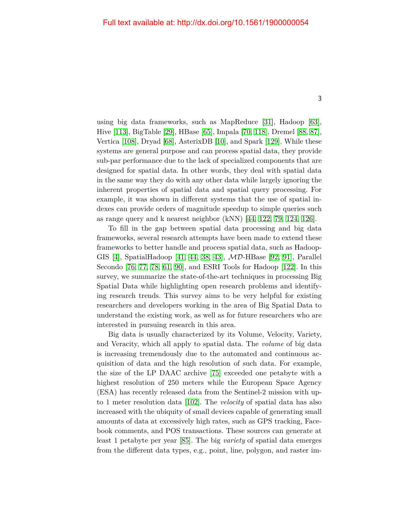using big data frameworks, such as MapReduce [\[31\]](#page-20-0), Hadoop [\[63\]](#page-23-1), Hive [\[113\]](#page-28-3), BigTable [\[29\]](#page-20-1), HBase [\[65\]](#page-23-2), Impala [\[70,](#page-24-2) [118\]](#page-29-1), Dremel [\[88,](#page-26-1) [87\]](#page-26-2), Vertica [\[108\]](#page-28-4), Dryad [\[68\]](#page-24-3), AsterixDB [\[10\]](#page-18-0), and Spark [\[129\]](#page-30-0). While these systems are general purpose and can process spatial data, they provide sub-par performance due to the lack of specialized components that are designed for spatial data. In other words, they deal with spatial data in the same way they do with any other data while largely ignoring the inherent properties of spatial data and spatial query processing. For example, it was shown in different systems that the use of spatial indexes can provide orders of magnitude speedup to simple queries such as range query and k nearest neighbor (kNN) [\[44,](#page-21-0) [122,](#page-29-2) [79,](#page-25-0) [124,](#page-29-3) [126\]](#page-29-4).

To fill in the gap between spatial data processing and big data frameworks, several research attempts have been made to extend these frameworks to better handle and process spatial data, such as Hadoop-GIS [\[4\]](#page-17-1), SpatialHadoop [\[41,](#page-21-1) [44,](#page-21-0) [38,](#page-21-2) [43\]](#page-21-3), MD-HBase [\[92,](#page-26-3) [91\]](#page-26-4), Parallel Secondo [\[76,](#page-24-4) [77,](#page-25-1) [78,](#page-25-2) [61,](#page-23-3) [90\]](#page-26-5), and ESRI Tools for Hadoop [\[122\]](#page-29-2). In this survey, we summarize the state-of-the-art techniques in processing Big Spatial Data while highlighting open research problems and identifying research trends. This survey aims to be very helpful for existing researchers and developers working in the area of Big Spatial Data to understand the existing work, as well as for future researchers who are interested in pursuing research in this area.

Big data is usually characterized by its Volume, Velocity, Variety, and Veracity, which all apply to spatial data. The *volume* of big data is increasing tremendously due to the automated and continuous acquisition of data and the high resolution of such data. For example, the size of the LP DAAC archive [\[75\]](#page-24-1) exceeded one petabyte with a highest resolution of 250 meters while the European Space Agency (ESA) has recently released data from the Sentinel-2 mission with upto 1 meter resolution data [\[102\]](#page-27-2). The *velocity* of spatial data has also increased with the ubiquity of small devices capable of generating small amounts of data at excessively high rates, such as GPS tracking, Facebook comments, and POS transactions. These sources can generate at least 1 petabyte per year [\[85\]](#page-25-3). The big *variety* of spatial data emerges from the different data types, e.g., point, line, polygon, and raster im-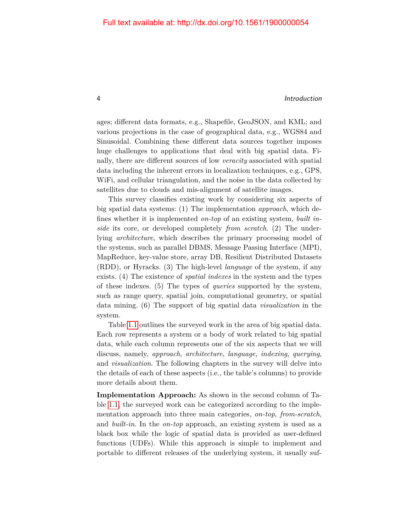#### 4 Introduction

ages; different data formats, e.g., Shapefile, GeoJSON, and KML; and various projections in the case of geographical data, e.g., WGS84 and Sinusoidal. Combining these different data sources together imposes huge challenges to applications that deal with big spatial data. Finally, there are different sources of low *veracity* associated with spatial data including the inherent errors in localization techniques, e.g., GPS, WiFi, and cellular triangulation, and the noise in the data collected by satellites due to clouds and mis-alignment of satellite images.

This survey classifies existing work by considering six aspects of big spatial data systems: (1) The implementation *approach*, which defines whether it is implemented *on-top* of an existing system, *built inside* its core, or developed completely *from scratch*. (2) The underlying *architecture*, which describes the primary processing model of the systems, such as parallel DBMS, Message Passing Interface (MPI), MapReduce, key-value store, array DB, Resilient Distributed Datasets (RDD), or Hyracks. (3) The high-level *language* of the system, if any exists. (4) The existence of *spatial indexes* in the system and the types of these indexes. (5) The types of *queries* supported by the system, such as range query, spatial join, computational geometry, or spatial data mining. (6) The support of big spatial data *visualization* in the system.

Table [1.1](#page-12-0) outlines the surveyed work in the area of big spatial data. Each row represents a system or a body of work related to big spatial data, while each column represents one of the six aspects that we will discuss, namely, *approach*, *architecture*, *language*, *indexing*, *querying*, and *visualization*. The following chapters in the survey will delve into the details of each of these aspects (i.e., the table's columns) to provide more details about them.

**Implementation Approach:** As shown in the second column of Table [1.1,](#page-12-0) the surveyed work can be categorized according to the implementation approach into three main categories, *on-top*, *from-scratch*, and *built-in*. In the *on-top* approach, an existing system is used as a black box while the logic of spatial data is provided as user-defined functions (UDFs). While this approach is simple to implement and portable to different releases of the underlying system, it usually suf-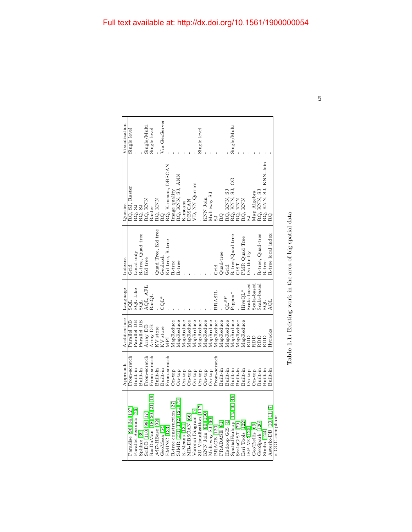<span id="page-12-0"></span>

| Visualization | Single level           |                                  |                   | Single/Multi        | Single level              |                                    | Via GeoServer |                        |                          |                          |                |                       |                     | Single level           |                    |                  |              |              |                                                              | Single/Multi               |                |                     |               |                 |                                                     |             |                        |                 |
|---------------|------------------------|----------------------------------|-------------------|---------------------|---------------------------|------------------------------------|---------------|------------------------|--------------------------|--------------------------|----------------|-----------------------|---------------------|------------------------|--------------------|------------------|--------------|--------------|--------------------------------------------------------------|----------------------------|----------------|---------------------|---------------|-----------------|-----------------------------------------------------|-------------|------------------------|-----------------|
| Queries       | RQ, SJ, Raster         | RQ, SJ                           | RQ, SJ            | RQ, KNN             | Raster                    | RQ, KNN                            | g             | RQ, K-means, DBSCAN    | mage quality             | RQ, KNN, SJ, ANN         | <b>K-means</b> | <b>DBSCAN</b>         | VD, NN Queries      |                        | KNN Join           | Multiway SJ      |              | RQ           | RQ, KNN, SJ<br>RQ, KNN, SJ,<br>RQ, KNN<br>RQ, KNN<br>RQ, KNN | SJ, CG                     |                |                     |               |                 | Map Algebra<br>RQ, KNN, SJ<br>RQ, KNN, SJ, KNN-Join |             | RQ                     |                 |
| Indexes       | Grid                   | Local only                       | R-tree, Quad tree | Kd tree             |                           | Quad Tree, Kd tree                 | Geohash       | Kd tree, R-tree        | R-tree                   | R-tree                   |                |                       |                     |                        |                    |                  | Grid         | Quad-tree    | Grid                                                         | R tree/Quad tree<br>GiST   |                | PMR Quad Tree       | $On-the-fly$  |                 | R-tree, Quad-tree                                   | R-tree      | R-tree local index     |                 |
| Language      | TPS                    | SQL-Like                         |                   | AQL, AFL            | RasQL                     |                                    | $CQL^*$       |                        |                          |                          |                |                       |                     |                        |                    |                  | BRASIL       |              | $QL^{SP}$                                                    | Pigeon <sup>*</sup>        |                | HiveQL <sup>*</sup> | Scala-based   | Scala-based     | Scala-based                                         | TOS         | AQL                    |                 |
| Architecture  | Parallel DB            | Parallel DB                      | Parallel DB       | Array DB            | Array DB                  | $\bar{\mathrm{K}}\mathrm{V}$ store | KV store      | IdM                    | MapReduce                | MapReduce                | MapReduce      | MapReduce             | MapReduce           | MapReduce              | MapReduce          | MapReduce        | MapReduce    | MapReduce    | MapReduce                                                    | MapReduce                  | MapReduce      | MapReduce           | RDD           | <b>QCR</b>      | <b>QCR</b>                                          | <b>QCR</b>  | Hyracks                |                 |
| Approach      | From-scratch           | Built-in                         | Built-in          | From-scratch        | From-scratch              | $Bult-in$                          | Built-in      | From-scratch           | On-top                   | $On-top$                 | On-top         | On-top                | On-top              | $On-top$               | On-top             | On-top           | From-scratch | Built-in     | Built-in                                                     | Built-in                   | Built-in       | $Built-in$          | On-top        | $On-top$        | $Built-in$                                          | Built-in    | Built-in               |                 |
|               | Paradise [96, 34, 127] | Parallel Secondo <sup>[76]</sup> | $Spinx$ [39]      | SciDB [110, 98, 17] | RasDaMan [18, 20, 21, 19] | MD-HBase [92]                      | GeoMesa [54]  | EMINC <sub>[133]</sub> | R-tree construction [27] | SJMR [131, 132, 121, 73] | K-Means [134]  | <b>MR-DBSCAN</b> [66] | Voronoi Diagram [5] | 3D Visualization [117] | KNN Join [80, 130] | Multiway SJ [60] | BRACE [120]  | PRADASE [81] | Hadoop GIS [4]                                               | SpatialHadoop [44, 40, 46] | ScalaGiST [79] | Esri Tools [122]    | $[SP-MCI125]$ | GeoTrellis [69] | GeoSpark [126]                                      | Simba [124] | Asterix-DB [10, 11, 7] | * OGC-compliant |

| ì<br>¢<br>֠                                                                |
|----------------------------------------------------------------------------|
| ļ<br>l<br>ؚ<br>$\frac{1}{2}$<br>֕                                          |
| i<br>S<br>֧֧֧֧֧֧֧֧֧֧֧֧֛֛֛֛֚֚֚֚֚֚֚֚֟֝֝֝֝֝֝֝֜֜֜֜֜<br>֧֧֛֛֛֛֛֛֛֛֛֚֜֜֜֜֜֜<br>֕ |
| i<br>;<br>i<br>î                                                           |
| $\mathfrak{g}$<br>1<br>I                                                   |
| $\overline{\phantom{a}}$<br>í                                              |
| l<br>֠<br>l<br>l<br>ļ<br>$\overline{\phantom{a}}$                          |
| ١<br>֕֕֕֡<br>١<br>ׇׅ֘֝֬                                                    |
| l<br>l                                                                     |
| ֠<br>ć<br>֚֚<br>l                                                          |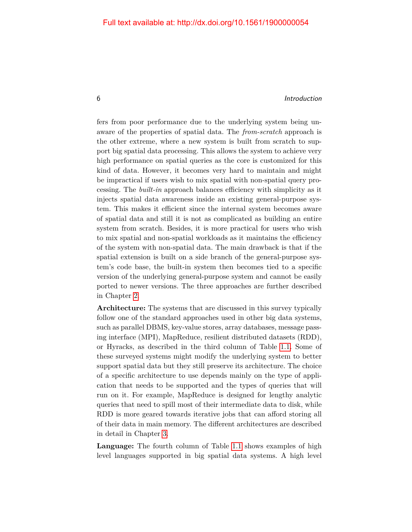#### 6 Introduction

fers from poor performance due to the underlying system being unaware of the properties of spatial data. The *from-scratch* approach is the other extreme, where a new system is built from scratch to support big spatial data processing. This allows the system to achieve very high performance on spatial queries as the core is customized for this kind of data. However, it becomes very hard to maintain and might be impractical if users wish to mix spatial with non-spatial query processing. The *built-in* approach balances efficiency with simplicity as it injects spatial data awareness inside an existing general-purpose system. This makes it efficient since the internal system becomes aware of spatial data and still it is not as complicated as building an entire system from scratch. Besides, it is more practical for users who wish to mix spatial and non-spatial workloads as it maintains the efficiency of the system with non-spatial data. The main drawback is that if the spatial extension is built on a side branch of the general-purpose system's code base, the built-in system then becomes tied to a specific version of the underlying general-purpose system and cannot be easily ported to newer versions. The three approaches are further described in Chapter [2.](#page--1-0)

**Architecture:** The systems that are discussed in this survey typically follow one of the standard approaches used in other big data systems, such as parallel DBMS, key-value stores, array databases, message passing interface (MPI), MapReduce, resilient distributed datasets (RDD), or Hyracks, as described in the third column of Table [1.1.](#page-12-0) Some of these surveyed systems might modify the underlying system to better support spatial data but they still preserve its architecture. The choice of a specific architecture to use depends mainly on the type of application that needs to be supported and the types of queries that will run on it. For example, MapReduce is designed for lengthy analytic queries that need to spill most of their intermediate data to disk, while RDD is more geared towards iterative jobs that can afford storing all of their data in main memory. The different architectures are described in detail in Chapter [3.](#page--1-0)

**Language:** The fourth column of Table [1.1](#page-12-0) shows examples of high level languages supported in big spatial data systems. A high level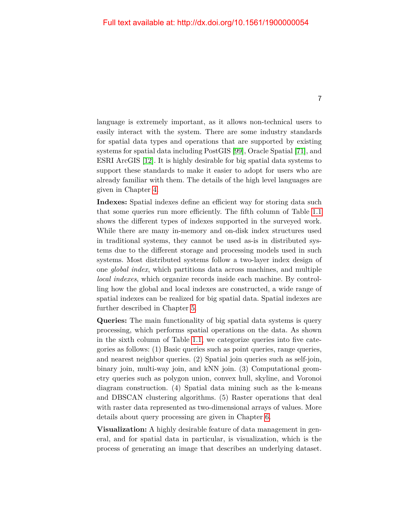language is extremely important, as it allows non-technical users to easily interact with the system. There are some industry standards for spatial data types and operations that are supported by existing systems for spatial data including PostGIS [\[99\]](#page-27-5), Oracle Spatial [\[71\]](#page-24-7), and ESRI ArcGIS [\[12\]](#page-18-3). It is highly desirable for big spatial data systems to support these standards to make it easier to adopt for users who are already familiar with them. The details of the high level languages are given in Chapter [4.](#page--1-0)

**Indexes:** Spatial indexes define an efficient way for storing data such that some queries run more efficiently. The fifth column of Table [1.1](#page-12-0) shows the different types of indexes supported in the surveyed work. While there are many in-memory and on-disk index structures used in traditional systems, they cannot be used as-is in distributed systems due to the different storage and processing models used in such systems. Most distributed systems follow a two-layer index design of one *global index*, which partitions data across machines, and multiple *local indexes*, which organize records inside each machine. By controlling how the global and local indexes are constructed, a wide range of spatial indexes can be realized for big spatial data. Spatial indexes are further described in Chapter [5.](#page--1-0)

**Queries:** The main functionality of big spatial data systems is query processing, which performs spatial operations on the data. As shown in the sixth column of Table [1.1,](#page-12-0) we categorize queries into five categories as follows: (1) Basic queries such as point queries, range queries, and nearest neighbor queries. (2) Spatial join queries such as self-join, binary join, multi-way join, and kNN join. (3) Computational geometry queries such as polygon union, convex hull, skyline, and Voronoi diagram construction. (4) Spatial data mining such as the k-means and DBSCAN clustering algorithms. (5) Raster operations that deal with raster data represented as two-dimensional arrays of values. More details about query processing are given in Chapter [6.](#page--1-0)

**Visualization:** A highly desirable feature of data management in general, and for spatial data in particular, is visualization, which is the process of generating an image that describes an underlying dataset.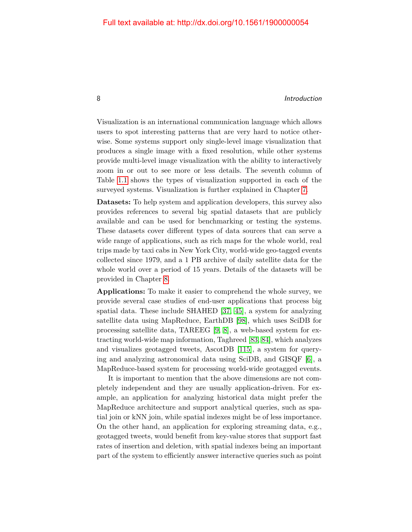#### 8 and 100 million to the contract of the contract of the contract of the contract of the contract of the contract of the contract of the contract of the contract of the contract of the contract of the contract of the contr

Visualization is an international communication language which allows users to spot interesting patterns that are very hard to notice otherwise. Some systems support only single-level image visualization that produces a single image with a fixed resolution, while other systems provide multi-level image visualization with the ability to interactively zoom in or out to see more or less details. The seventh column of Table [1.1](#page-12-0) shows the types of visualization supported in each of the surveyed systems. Visualization is further explained in Chapter [7.](#page--1-0)

**Datasets:** To help system and application developers, this survey also provides references to several big spatial datasets that are publicly available and can be used for benchmarking or testing the systems. These datasets cover different types of data sources that can serve a wide range of applications, such as rich maps for the whole world, real trips made by taxi cabs in New York City, world-wide geo-tagged events collected since 1979, and a 1 PB archive of daily satellite data for the whole world over a period of 15 years. Details of the datasets will be provided in Chapter [8.](#page--1-0)

**Applications:** To make it easier to comprehend the whole survey, we provide several case studies of end-user applications that process big spatial data. These include SHAHED [\[37,](#page-21-6) [45\]](#page-22-4), a system for analyzing satellite data using MapReduce, EarthDB [\[98\]](#page-27-4), which uses SciDB for processing satellite data, TAREEG [\[9,](#page-18-4) [8\]](#page-18-5), a web-based system for extracting world-wide map information, Taghreed [\[83,](#page-25-6) [84\]](#page-25-7), which analyzes and visualizes geotagged tweets, AscotDB [\[115\]](#page-28-6), a system for querying and analyzing astronomical data using SciDB, and GISQF [\[6\]](#page-18-6), a MapReduce-based system for processing world-wide geotagged events.

It is important to mention that the above dimensions are not completely independent and they are usually application-driven. For example, an application for analyzing historical data might prefer the MapReduce architecture and support analytical queries, such as spatial join or kNN join, while spatial indexes might be of less importance. On the other hand, an application for exploring streaming data, e.g., geotagged tweets, would benefit from key-value stores that support fast rates of insertion and deletion, with spatial indexes being an important part of the system to efficiently answer interactive queries such as point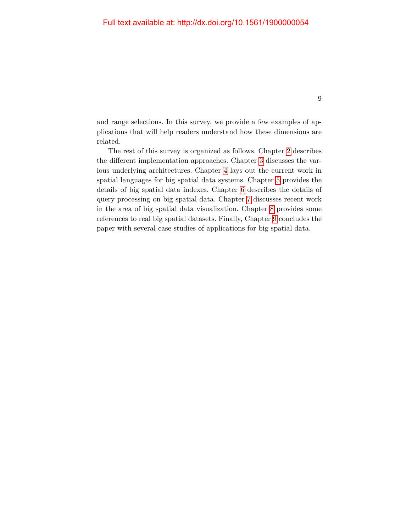and range selections. In this survey, we provide a few examples of applications that will help readers understand how these dimensions are related.

The rest of this survey is organized as follows. Chapter [2](#page--1-0) describes the different implementation approaches. Chapter [3](#page--1-0) discusses the various underlying architectures. Chapter [4](#page--1-0) lays out the current work in spatial languages for big spatial data systems. Chapter [5](#page--1-0) provides the details of big spatial data indexes. Chapter [6](#page--1-0) describes the details of query processing on big spatial data. Chapter [7](#page--1-0) discusses recent work in the area of big spatial data visualization. Chapter [8](#page--1-0) provides some references to real big spatial datasets. Finally, Chapter [9](#page--1-0) concludes the paper with several case studies of applications for big spatial data.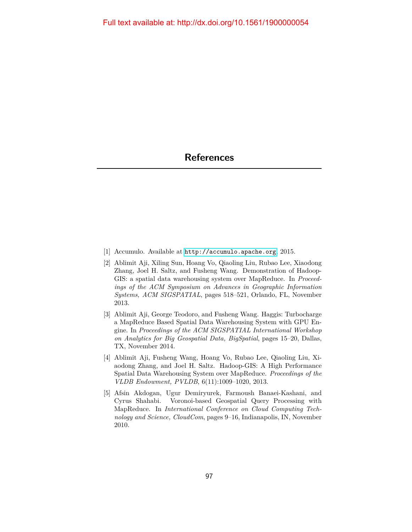- <span id="page-17-0"></span>[1] Accumulo. Available at <http://accumulo.apache.org>, 2015.
- [2] Ablimit Aji, Xiling Sun, Hoang Vo, Qiaoling Liu, Rubao Lee, Xiaodong Zhang, Joel H. Saltz, and Fusheng Wang. Demonstration of Hadoop-GIS: a spatial data warehousing system over MapReduce. In *Proceedings of the ACM Symposium on Advances in Geographic Information Systems, ACM SIGSPATIAL*, pages 518–521, Orlando, FL, November 2013.
- [3] Ablimit Aji, George Teodoro, and Fusheng Wang. Haggis: Turbocharge a MapReduce Based Spatial Data Warehousing System with GPU Engine. In *Proceedings of the ACM SIGSPATIAL International Workshop on Analytics for Big Geospatial Data, BigSpatial*, pages 15–20, Dallas, TX, November 2014.
- <span id="page-17-1"></span>[4] Ablimit Aji, Fusheng Wang, Hoang Vo, Rubao Lee, Qiaoling Liu, Xiaodong Zhang, and Joel H. Saltz. Hadoop-GIS: A High Performance Spatial Data Warehousing System over MapReduce. *Proceedings of the VLDB Endowment, PVLDB*, 6(11):1009–1020, 2013.
- <span id="page-17-2"></span>[5] Afsin Akdogan, Ugur Demiryurek, Farmoush Banaei-Kashani, and Cyrus Shahabi. Voronoi-based Geospatial Query Processing with MapReduce. In *International Conference on Cloud Computing Technology and Science, CloudCom*, pages 9–16, Indianapolis, IN, November 2010.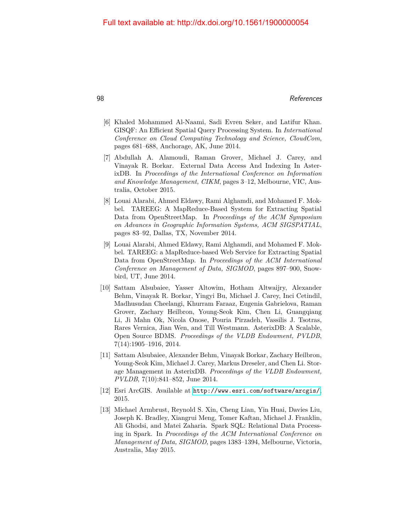- <span id="page-18-6"></span>[6] Khaled Mohammed Al-Naami, Sadi Evren Seker, and Latifur Khan. GISQF: An Efficient Spatial Query Processing System. In *International Conference on Cloud Computing Technology and Science, CloudCom*, pages 681–688, Anchorage, AK, June 2014.
- <span id="page-18-2"></span>[7] Abdullah A. Alamoudi, Raman Grover, Michael J. Carey, and Vinayak R. Borkar. External Data Access And Indexing In AsterixDB. In *Proceedings of the International Conference on Information and Knowledge Management, CIKM*, pages 3–12, Melbourne, VIC, Australia, October 2015.
- <span id="page-18-5"></span>[8] Louai Alarabi, Ahmed Eldawy, Rami Alghamdi, and Mohamed F. Mokbel. TAREEG: A MapReduce-Based System for Extracting Spatial Data from OpenStreetMap. In *Proceedings of the ACM Symposium on Advances in Geographic Information Systems, ACM SIGSPATIAL*, pages 83–92, Dallas, TX, November 2014.
- <span id="page-18-4"></span>[9] Louai Alarabi, Ahmed Eldawy, Rami Alghamdi, and Mohamed F. Mokbel. TAREEG: a MapReduce-based Web Service for Extracting Spatial Data from OpenStreetMap. In *Proceedings of the ACM International Conference on Management of Data, SIGMOD*, pages 897–900, Snowbird, UT, June 2014.
- <span id="page-18-0"></span>[10] Sattam Alsubaiee, Yasser Altowim, Hotham Altwaijry, Alexander Behm, Vinayak R. Borkar, Yingyi Bu, Michael J. Carey, Inci Cetindil, Madhusudan Cheelangi, Khurram Faraaz, Eugenia Gabrielova, Raman Grover, Zachary Heilbron, Young-Seok Kim, Chen Li, Guangqiang Li, Ji Mahn Ok, Nicola Onose, Pouria Pirzadeh, Vassilis J. Tsotras, Rares Vernica, Jian Wen, and Till Westmann. AsterixDB: A Scalable, Open Source BDMS. *Proceedings of the VLDB Endowment, PVLDB*, 7(14):1905–1916, 2014.
- <span id="page-18-1"></span>[11] Sattam Alsubaiee, Alexander Behm, Vinayak Borkar, Zachary Heilbron, Young-Seok Kim, Michael J. Carey, Markus Dreseler, and Chen Li. Storage Management in AsterixDB. *Proceedings of the VLDB Endowment, PVLDB*, 7(10):841–852, June 2014.
- <span id="page-18-3"></span>[12] Esri ArcGIS. Available at <http://www.esri.com/software/arcgis/>, 2015.
- [13] Michael Armbrust, Reynold S. Xin, Cheng Lian, Yin Huai, Davies Liu, Joseph K. Bradley, Xiangrui Meng, Tomer Kaftan, Michael J. Franklin, Ali Ghodsi, and Matei Zaharia. Spark SQL: Relational Data Processing in Spark. In *Proceedings of the ACM International Conference on Management of Data, SIGMOD*, pages 1383–1394, Melbourne, Victoria, Australia, May 2015.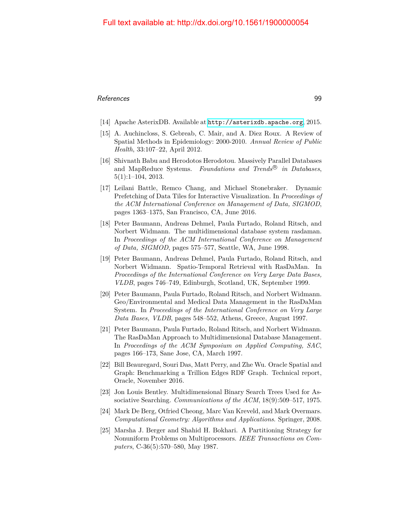- [14] Apache AsterixDB. Available at <http://asterixdb.apache.org>, 2015.
- <span id="page-19-0"></span>[15] A. Auchincloss, S. Gebreab, C. Mair, and A. Diez Roux. A Review of Spatial Methods in Epidemiology: 2000-2010. *Annual Review of Public Health*, 33:107–22, April 2012.
- [16] Shivnath Babu and Herodotos Herodotou. Massively Parallel Databases and MapReduce Systems. *Foundations and Trends*<sup>®</sup> in Databases, 5(1):1–104, 2013.
- <span id="page-19-1"></span>[17] Leilani Battle, Remco Chang, and Michael Stonebraker. Dynamic Prefetching of Data Tiles for Interactive Visualization. In *Proceedings of the ACM International Conference on Management of Data, SIGMOD*, pages 1363–1375, San Francisco, CA, June 2016.
- <span id="page-19-2"></span>[18] Peter Baumann, Andreas Dehmel, Paula Furtado, Roland Ritsch, and Norbert Widmann. The multidimensional database system rasdaman. In *Proceedings of the ACM International Conference on Management of Data, SIGMOD*, pages 575–577, Seattle, WA, June 1998.
- <span id="page-19-5"></span>[19] Peter Baumann, Andreas Dehmel, Paula Furtado, Roland Ritsch, and Norbert Widmann. Spatio-Temporal Retrieval with RasDaMan. In *Proceedings of the International Conference on Very Large Data Bases, VLDB*, pages 746–749, Edinburgh, Scotland, UK, September 1999.
- <span id="page-19-3"></span>[20] Peter Baumann, Paula Furtado, Roland Ritsch, and Norbert Widmann. Geo/Environmental and Medical Data Management in the RasDaMan System. In *Proceedings of the International Conference on Very Large Data Bases, VLDB*, pages 548–552, Athens, Greece, August 1997.
- <span id="page-19-4"></span>[21] Peter Baumann, Paula Furtado, Roland Ritsch, and Norbert Widmann. The RasDaMan Approach to Multidimensional Database Management. In *Proceedings of the ACM Symposium on Applied Computing, SAC*, pages 166–173, Sane Jose, CA, March 1997.
- [22] Bill Beauregard, Souri Das, Matt Perry, and Zhe Wu. Oracle Spatial and Graph: Benchmarking a Trillion Edges RDF Graph. Technical report, Oracle, November 2016.
- [23] Jon Louis Bentley. Multidimensional Binary Search Trees Used for Associative Searching. *Communications of the ACM*, 18(9):509–517, 1975.
- [24] Mark De Berg, Otfried Cheong, Marc Van Kreveld, and Mark Overmars. *Computational Geometry: Algorithms and Applications*. Springer, 2008.
- [25] Marsha J. Berger and Shahid H. Bokhari. A Partitioning Strategy for Nonuniform Problems on Multiprocessors. *IEEE Transactions on Computers*, C-36(5):570–580, May 1987.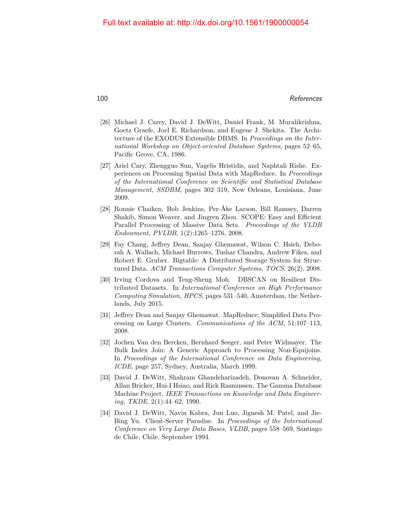- [26] Michael J. Carey, David J. DeWitt, Daniel Frank, M. Muralikrishna, Goetz Graefe, Joel E. Richardson, and Eugene J. Shekita. The Architecture of the EXODUS Extensible DBMS. In *Proceedings on the International Workshop on Object-oriented Database Systems*, pages 52–65, Pacific Grove, CA, 1986.
- <span id="page-20-3"></span>[27] Ariel Cary, Zhengguo Sun, Vagelis Hristidis, and Naphtali Rishe. Experiences on Processing Spatial Data with MapReduce. In *Proceedings of the International Conference on Scientific and Statistical Database Management, SSDBM*, pages 302–319, New Orleans, Louisiana, June 2009.
- [28] Ronnie Chaiken, Bob Jenkins, Per-Åke Larson, Bill Ramsey, Darren Shakib, Simon Weaver, and Jingren Zhou. SCOPE: Easy and Efficient Parallel Processing of Massive Data Sets. *Proceedings of the VLDB Endowment, PVLDB*, 1(2):1265–1276, 2008.
- <span id="page-20-1"></span>[29] Fay Chang, Jeffrey Dean, Sanjay Ghemawat, Wilson C. Hsieh, Deborah A. Wallach, Michael Burrows, Tushar Chandra, Andrew Fikes, and Robert E. Gruber. Bigtable: A Distributed Storage System for Structured Data. *ACM Transactions Computer Systems, TOCS*, 26(2), 2008.
- [30] Irving Cordova and Teng-Sheng Moh. DBSCAN on Resilient Distributed Datasets. In *International Conference on High Performance Computing Simulation, HPCS*, pages 531–540, Amsterdam, the Netherlands, July 2015.
- <span id="page-20-0"></span>[31] Jeffrey Dean and Sanjay Ghemawat. MapReduce: Simplified Data Processing on Large Clusters. *Communications of the ACM*, 51:107–113, 2008.
- [32] Jochen Van den Bercken, Bernhard Seeger, and Peter Widmayer. The Bulk Index Join: A Generic Approach to Processing Non-Equijoins. In *Proceedings of the International Conference on Data Engineering, ICDE*, page 257, Sydney, Australia, March 1999.
- [33] David J. DeWitt, Shahram Ghandeharizadeh, Donovan A. Schneider, Allan Bricker, Hui-I Hsiao, and Rick Rasmussen. The Gamma Database Machine Project. *IEEE Transactions on Knowledge and Data Engineering, TKDE*, 2(1):44–62, 1990.
- <span id="page-20-2"></span>[34] David J. DeWitt, Navin Kabra, Jun Luo, Jignesh M. Patel, and Jie-Bing Yu. Client-Server Paradise. In *Proceedings of the International Conference on Very Large Data Bases, VLDB*, pages 558–569, Santiago de Chile, Chile, September 1994.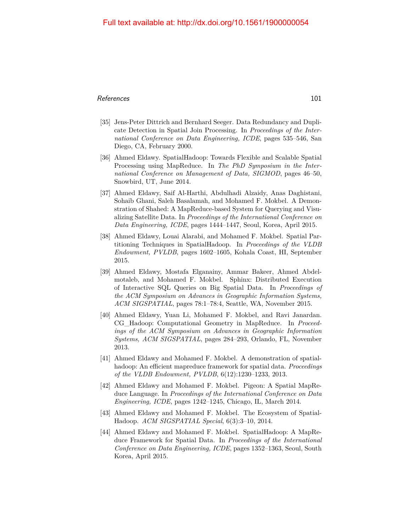#### References and the set of the set of the set of the set of the set of the set of the set of the set of the set of the set of the set of the set of the set of the set of the set of the set of the set of the set of the set o

- [35] Jens-Peter Dittrich and Bernhard Seeger. Data Redundancy and Duplicate Detection in Spatial Join Processing. In *Proceedings of the International Conference on Data Engineering, ICDE*, pages 535–546, San Diego, CA, February 2000.
- [36] Ahmed Eldawy. SpatialHadoop: Towards Flexible and Scalable Spatial Processing using MapReduce. In *The PhD Symposium in the International Conference on Management of Data, SIGMOD*, pages 46–50, Snowbird, UT, June 2014.
- <span id="page-21-6"></span>[37] Ahmed Eldawy, Saif Al-Harthi, Abdulhadi Alzaidy, Anas Daghistani, Sohaib Ghani, Saleh Basalamah, and Mohamed F. Mokbel. A Demonstration of Shahed: A MapReduce-based System for Querying and Visualizing Satellite Data. In *Proceedings of the International Conference on Data Engineering, ICDE*, pages 1444–1447, Seoul, Korea, April 2015.
- <span id="page-21-2"></span>[38] Ahmed Eldawy, Louai Alarabi, and Mohamed F. Mokbel. Spatial Partitioning Techniques in SpatialHadoop. In *Proceedings of the VLDB Endowment, PVLDB*, pages 1602–1605, Kohala Coast, HI, September 2015.
- <span id="page-21-4"></span>[39] Ahmed Eldawy, Mostafa Elganainy, Ammar Bakeer, Ahmed Abdelmotaleb, and Mohamed F. Mokbel. Sphinx: Distributed Execution of Interactive SQL Queries on Big Spatial Data. In *Proceedings of the ACM Symposium on Advances in Geographic Information Systems, ACM SIGSPATIAL*, pages 78:1–78:4, Seattle, WA, November 2015.
- <span id="page-21-5"></span>[40] Ahmed Eldawy, Yuan Li, Mohamed F. Mokbel, and Ravi Janardan. CG\_Hadoop: Computational Geometry in MapReduce. In *Proceedings of the ACM Symposium on Advances in Geographic Information Systems, ACM SIGSPATIAL*, pages 284–293, Orlando, FL, November 2013.
- <span id="page-21-1"></span>[41] Ahmed Eldawy and Mohamed F. Mokbel. A demonstration of spatialhadoop: An efficient mapreduce framework for spatial data. *Proceedings of the VLDB Endowment, PVLDB*, 6(12):1230–1233, 2013.
- [42] Ahmed Eldawy and Mohamed F. Mokbel. Pigeon: A Spatial MapReduce Language. In *Proceedings of the International Conference on Data Engineering, ICDE*, pages 1242–1245, Chicago, IL, March 2014.
- <span id="page-21-3"></span>[43] Ahmed Eldawy and Mohamed F. Mokbel. The Ecosystem of Spatial-Hadoop. *ACM SIGSPATIAL Special*, 6(3):3–10, 2014.
- <span id="page-21-0"></span>[44] Ahmed Eldawy and Mohamed F. Mokbel. SpatialHadoop: A MapReduce Framework for Spatial Data. In *Proceedings of the International Conference on Data Engineering, ICDE*, pages 1352–1363, Seoul, South Korea, April 2015.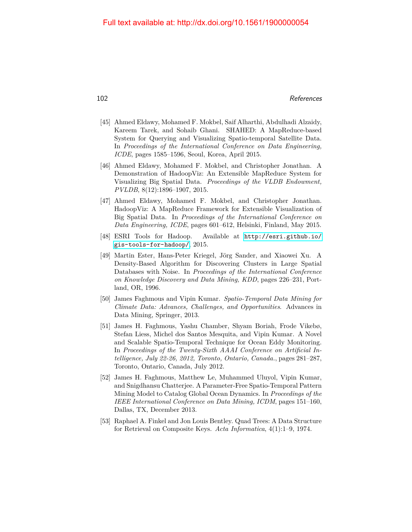- <span id="page-22-4"></span>[45] Ahmed Eldawy, Mohamed F. Mokbel, Saif Alharthi, Abdulhadi Alzaidy, Kareem Tarek, and Sohaib Ghani. SHAHED: A MapReduce-based System for Querying and Visualizing Spatio-temporal Satellite Data. In *Proceedings of the International Conference on Data Engineering, ICDE*, pages 1585–1596, Seoul, Korea, April 2015.
- <span id="page-22-3"></span>[46] Ahmed Eldawy, Mohamed F. Mokbel, and Christopher Jonathan. A Demonstration of HadoopViz: An Extensible MapReduce System for Visualizing Big Spatial Data. *Proceedings of the VLDB Endowment, PVLDB*, 8(12):1896–1907, 2015.
- [47] Ahmed Eldawy, Mohamed F. Mokbel, and Christopher Jonathan. HadoopViz: A MapReduce Framework for Extensible Visualization of Big Spatial Data. In *Proceedings of the International Conference on Data Engineering, ICDE*, pages 601–612, Helsinki, Finland, May 2015.
- [48] ESRI Tools for Hadoop. Available at [http://esri.github.io/](http://esri.github.io/gis-tools-for-hadoop/) [gis-tools-for-hadoop/](http://esri.github.io/gis-tools-for-hadoop/), 2015.
- [49] Martin Ester, Hans-Peter Kriegel, Jörg Sander, and Xiaowei Xu. A Density-Based Algorithm for Discovering Clusters in Large Spatial Databases with Noise. In *Proceedings of the International Conference on Knowledge Discovery and Data Mining, KDD*, pages 226–231, Portland, OR, 1996.
- <span id="page-22-0"></span>[50] James Faghmous and Vipin Kumar. *Spatio-Temporal Data Mining for Climate Data: Advances, Challenges, and Opportunities*. Advances in Data Mining, Springer, 2013.
- <span id="page-22-1"></span>[51] James H. Faghmous, Yashu Chamber, Shyam Boriah, Frode Vikebø, Stefan Liess, Michel dos Santos Mesquita, and Vipin Kumar. A Novel and Scalable Spatio-Temporal Technique for Ocean Eddy Monitoring. In *Proceedings of the Twenty-Sixth AAAI Conference on Artificial Intelligence, July 22-26, 2012, Toronto, Ontario, Canada.*, pages 281–287, Toronto, Ontario, Canada, July 2012.
- <span id="page-22-2"></span>[52] James H. Faghmous, Matthew Le, Muhammed Uluyol, Vipin Kumar, and Snigdhansu Chatterjee. A Parameter-Free Spatio-Temporal Pattern Mining Model to Catalog Global Ocean Dynamics. In *Proceedings of the IEEE International Conference on Data Mining, ICDM*, pages 151–160, Dallas, TX, December 2013.
- [53] Raphael A. Finkel and Jon Louis Bentley. Quad Trees: A Data Structure for Retrieval on Composite Keys. *Acta Informatica*, 4(1):1–9, 1974.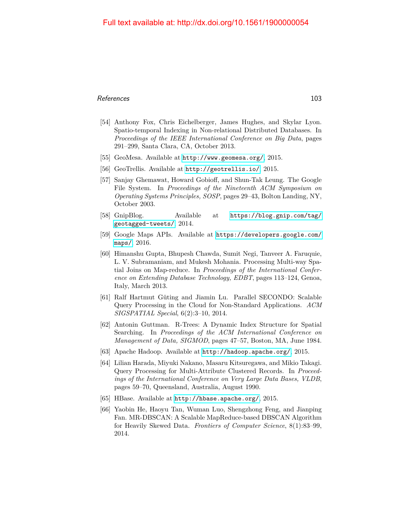#### References and the set of the set of the set of the set of the set of the set of the set of the set of the set of the set of the set of the set of the set of the set of the set of the set of the set of the set of the set o

- <span id="page-23-4"></span>[54] Anthony Fox, Chris Eichelberger, James Hughes, and Skylar Lyon. Spatio-temporal Indexing in Non-relational Distributed Databases. In *Proceedings of the IEEE International Conference on Big Data*, pages 291–299, Santa Clara, CA, October 2013.
- [55] GeoMesa. Available at <http://www.geomesa.org/>, 2015.
- [56] GeoTrellis. Available at <http://geotrellis.io/>, 2015.
- [57] Sanjay Ghemawat, Howard Gobioff, and Shun-Tak Leung. The Google File System. In *Proceedings of the Nineteenth ACM Symposium on Operating Systems Principles, SOSP*, pages 29–43, Bolton Landing, NY, October 2003.
- <span id="page-23-0"></span>[58] GnipBlog. Available at [https://blog.gnip.com/tag/](https://blog.gnip.com/tag/geotagged-tweets/) [geotagged-tweets/](https://blog.gnip.com/tag/geotagged-tweets/), 2014.
- [59] Google Maps APIs. Available at [https://developers.google.com/](https://developers.google.com/maps/) [maps/](https://developers.google.com/maps/), 2016.
- <span id="page-23-6"></span>[60] Himanshu Gupta, Bhupesh Chawda, Sumit Negi, Tanveer A. Faruquie, L. V. Subramaniam, and Mukesh Mohania. Processing Multi-way Spatial Joins on Map-reduce. In *Proceedings of the International Conference on Extending Database Technology, EDBT*, pages 113–124, Genoa, Italy, March 2013.
- <span id="page-23-3"></span>[61] Ralf Hartmut Güting and Jiamin Lu. Parallel SECONDO: Scalable Query Processing in the Cloud for Non-Standard Applications. *ACM SIGSPATIAL Special*, 6(2):3–10, 2014.
- [62] Antonin Guttman. R-Trees: A Dynamic Index Structure for Spatial Searching. In *Proceedings of the ACM International Conference on Management of Data, SIGMOD*, pages 47–57, Boston, MA, June 1984.
- <span id="page-23-1"></span>[63] Apache Hadoop. Available at <http://hadoop.apache.org/>, 2015.
- [64] Lilian Harada, Miyuki Nakano, Masaru Kitsuregawa, and Mikio Takagi. Query Processing for Multi-Attribute Clustered Records. In *Proceedings of the International Conference on Very Large Data Bases, VLDB*, pages 59–70, Queensland, Australia, August 1990.
- <span id="page-23-2"></span>[65] HBase. Available at <http://hbase.apache.org/>, 2015.
- <span id="page-23-5"></span>[66] Yaobin He, Haoyu Tan, Wuman Luo, Shengzhong Feng, and Jianping Fan. MR-DBSCAN: A Scalable MapReduce-based DBSCAN Algorithm for Heavily Skewed Data. *Frontiers of Computer Science*, 8(1):83–99, 2014.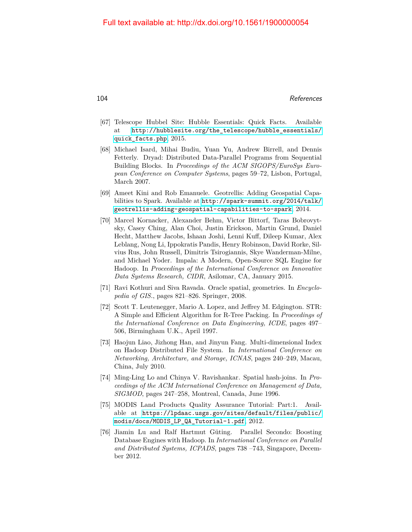- <span id="page-24-0"></span>[67] Telescope Hubbel Site: Hubble Essentials: Quick Facts. Available at [http://hubblesite.org/the\\_telescope/hubble\\_essentials/](http://hubblesite.org/the_telescope/hubble_essentials/quick_facts.php) [quick\\_facts.php](http://hubblesite.org/the_telescope/hubble_essentials/quick_facts.php), 2015.
- <span id="page-24-3"></span>[68] Michael Isard, Mihai Budiu, Yuan Yu, Andrew Birrell, and Dennis Fetterly. Dryad: Distributed Data-Parallel Programs from Sequential Building Blocks. In *Proceedings of the ACM SIGOPS/EuroSys European Conference on Computer Systems*, pages 59–72, Lisbon, Portugal, March 2007.
- <span id="page-24-6"></span>[69] Ameet Kini and Rob Emanuele. Geotrellis: Adding Geospatial Capabilities to Spark. Available at [http://spark-summit.org/2014/talk/](http://spark-summit.org/2014/talk/geotrellis-adding-geospatial-capabilities-to-spark) [geotrellis-adding-geospatial-capabilities-to-spark](http://spark-summit.org/2014/talk/geotrellis-adding-geospatial-capabilities-to-spark), 2014.
- <span id="page-24-2"></span>[70] Marcel Kornacker, Alexander Behm, Victor Bittorf, Taras Bobrovytsky, Casey Ching, Alan Choi, Justin Erickson, Martin Grund, Daniel Hecht, Matthew Jacobs, Ishaan Joshi, Lenni Kuff, Dileep Kumar, Alex Leblang, Nong Li, Ippokratis Pandis, Henry Robinson, David Rorke, Silvius Rus, John Russell, Dimitris Tsirogiannis, Skye Wanderman-Milne, and Michael Yoder. Impala: A Modern, Open-Source SQL Engine for Hadoop. In *Proceedings of the International Conference on Innovative Data Systems Research, CIDR*, Asilomar, CA, January 2015.
- <span id="page-24-7"></span>[71] Ravi Kothuri and Siva Ravada. Oracle spatial, geometries. In *Encyclopedia of GIS.*, pages 821–826. Springer, 2008.
- [72] Scott T. Leutenegger, Mario A. Lopez, and Jeffrey M. Edgington. STR: A Simple and Efficient Algorithm for R-Tree Packing. In *Proceedings of the International Conference on Data Engineering, ICDE*, pages 497– 506, Birmingham U.K., April 1997.
- <span id="page-24-5"></span>[73] Haojun Liao, Jizhong Han, and Jinyun Fang. Multi-dimensional Index on Hadoop Distributed File System. In *International Conference on Networking, Architecture, and Storage, ICNAS*, pages 240–249, Macau, China, July 2010.
- [74] Ming-Ling Lo and Chinya V. Ravishankar. Spatial hash-joins. In *Proceedings of the ACM International Conference on Management of Data, SIGMOD*, pages 247–258, Montreal, Canada, June 1996.
- <span id="page-24-1"></span>[75] MODIS Land Products Quality Assurance Tutorial: Part:1. Available at [https://lpdaac.usgs.gov/sites/default/files/public/](https://lpdaac.usgs.gov/sites/default/files/public/modis/docs/MODIS_LP_QA_Tutorial-1.pdf) [modis/docs/MODIS\\_LP\\_QA\\_Tutorial-1.pdf](https://lpdaac.usgs.gov/sites/default/files/public/modis/docs/MODIS_LP_QA_Tutorial-1.pdf), 2012.
- <span id="page-24-4"></span>[76] Jiamin Lu and Ralf Hartmut Güting. Parallel Secondo: Boosting Database Engines with Hadoop. In *International Conference on Parallel and Distributed Systems, ICPADS*, pages 738 –743, Singapore, December 2012.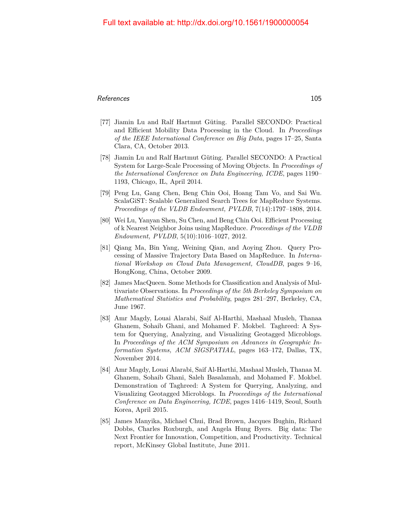#### References and the set of the set of the set of the set of the set of the set of the set of the set of the set of the set of the set of the set of the set of the set of the set of the set of the set of the set of the set o

- <span id="page-25-1"></span>[77] Jiamin Lu and Ralf Hartmut Güting. Parallel SECONDO: Practical and Efficient Mobility Data Processing in the Cloud. In *Proceedings of the IEEE International Conference on Big Data*, pages 17–25, Santa Clara, CA, October 2013.
- <span id="page-25-2"></span>[78] Jiamin Lu and Ralf Hartmut Güting. Parallel SECONDO: A Practical System for Large-Scale Processing of Moving Objects. In *Proceedings of the International Conference on Data Engineering, ICDE*, pages 1190– 1193, Chicago, IL, April 2014.
- <span id="page-25-0"></span>[79] Peng Lu, Gang Chen, Beng Chin Ooi, Hoang Tam Vo, and Sai Wu. ScalaGiST: Scalable Generalized Search Trees for MapReduce Systems. *Proceedings of the VLDB Endowment, PVLDB*, 7(14):1797–1808, 2014.
- <span id="page-25-4"></span>[80] Wei Lu, Yanyan Shen, Su Chen, and Beng Chin Ooi. Efficient Processing of k Nearest Neighbor Joins using MapReduce. *Proceedings of the VLDB Endowment, PVLDB*, 5(10):1016–1027, 2012.
- <span id="page-25-5"></span>[81] Qiang Ma, Bin Yang, Weining Qian, and Aoying Zhou. Query Processing of Massive Trajectory Data Based on MapReduce. In *International Workshop on Cloud Data Management, CloudDB*, pages 9–16, HongKong, China, October 2009.
- [82] James MacQueen. Some Methods for Classification and Analysis of Multivariate Observations. In *Proceedings of the 5th Berkeley Symposium on Mathematical Statistics and Probability*, pages 281–297, Berkeley, CA, June 1967.
- <span id="page-25-6"></span>[83] Amr Magdy, Louai Alarabi, Saif Al-Harthi, Mashaal Musleh, Thanaa Ghanem, Sohaib Ghani, and Mohamed F. Mokbel. Taghreed: A System for Querying, Analyzing, and Visualizing Geotagged Microblogs. In *Proceedings of the ACM Symposium on Advances in Geographic Information Systems, ACM SIGSPATIAL*, pages 163–172, Dallas, TX, November 2014.
- <span id="page-25-7"></span>[84] Amr Magdy, Louai Alarabi, Saif Al-Harthi, Mashaal Musleh, Thanaa M. Ghanem, Sohaib Ghani, Saleh Basalamah, and Mohamed F. Mokbel. Demonstration of Taghreed: A System for Querying, Analyzing, and Visualizing Geotagged Microblogs. In *Proceedings of the International Conference on Data Engineering, ICDE*, pages 1416–1419, Seoul, South Korea, April 2015.
- <span id="page-25-3"></span>[85] James Manyika, Michael Chui, Brad Brown, Jacques Bughin, Richard Dobbs, Charles Roxburgh, and Angela Hung Byers. Big data: The Next Frontier for Innovation, Competition, and Productivity. Technical report, McKinsey Global Institute, June 2011.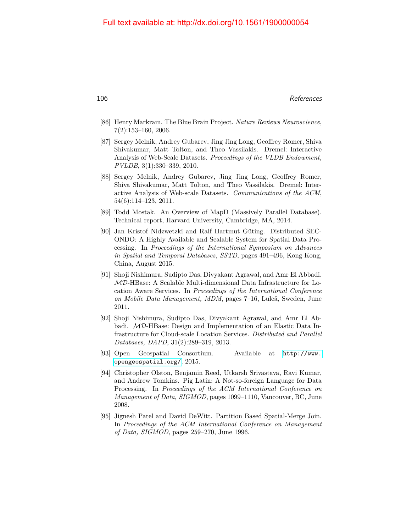- <span id="page-26-0"></span>[86] Henry Markram. The Blue Brain Project. *Nature Reviews Neuroscience*, 7(2):153–160, 2006.
- <span id="page-26-2"></span>[87] Sergey Melnik, Andrey Gubarev, Jing Jing Long, Geoffrey Romer, Shiva Shivakumar, Matt Tolton, and Theo Vassilakis. Dremel: Interactive Analysis of Web-Scale Datasets. *Proceedings of the VLDB Endowment, PVLDB*, 3(1):330–339, 2010.
- <span id="page-26-1"></span>[88] Sergey Melnik, Andrey Gubarev, Jing Jing Long, Geoffrey Romer, Shiva Shivakumar, Matt Tolton, and Theo Vassilakis. Dremel: Interactive Analysis of Web-scale Datasets. *Communications of the ACM*, 54(6):114–123, 2011.
- [89] Todd Mostak. An Overview of MapD (Massively Parallel Database). Technical report, Harvard University, Cambridge, MA, 2014.
- <span id="page-26-5"></span>[90] Jan Kristof Nidzwetzki and Ralf Hartmut Güting. Distributed SEC-ONDO: A Highly Available and Scalable System for Spatial Data Processing. In *Proceedings of the International Symposium on Advances in Spatial and Temporal Databases, SSTD*, pages 491–496, Kong Kong, China, August 2015.
- <span id="page-26-4"></span>[91] Shoji Nishimura, Sudipto Das, Divyakant Agrawal, and Amr El Abbadi. MD-HBase: A Scalable Multi-dimensional Data Infrastructure for Location Aware Services. In *Proceedings of the International Conference on Mobile Data Management, MDM*, pages 7–16, Luleå, Sweden, June 2011.
- <span id="page-26-3"></span>[92] Shoji Nishimura, Sudipto Das, Divyakant Agrawal, and Amr El Abbadi. MD-HBase: Design and Implementation of an Elastic Data Infrastructure for Cloud-scale Location Services. *Distributed and Parallel Databases, DAPD*, 31(2):289–319, 2013.
- [93] Open Geospatial Consortium. Available at [http://www.](http://www.opengeospatial.org/) [opengeospatial.org/](http://www.opengeospatial.org/), 2015.
- [94] Christopher Olston, Benjamin Reed, Utkarsh Srivastava, Ravi Kumar, and Andrew Tomkins. Pig Latin: A Not-so-foreign Language for Data Processing. In *Proceedings of the ACM International Conference on Management of Data, SIGMOD*, pages 1099–1110, Vancouver, BC, June 2008.
- [95] Jignesh Patel and David DeWitt. Partition Based Spatial-Merge Join. In *Proceedings of the ACM International Conference on Management of Data, SIGMOD*, pages 259–270, June 1996.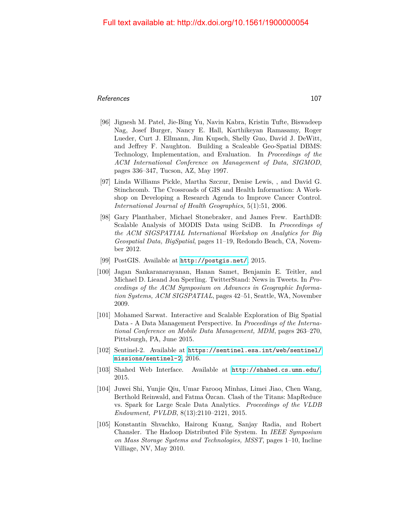#### References and the set of the set of the set of the set of the set of the set of the set of the set of the set of the set of the set of the set of the set of the set of the set of the set of the set of the set of the set o

- <span id="page-27-3"></span>[96] Jignesh M. Patel, Jie-Bing Yu, Navin Kabra, Kristin Tufte, Biswadeep Nag, Josef Burger, Nancy E. Hall, Karthikeyan Ramasamy, Roger Lueder, Curt J. Ellmann, Jim Kupsch, Shelly Guo, David J. DeWitt, and Jeffrey F. Naughton. Building a Scaleable Geo-Spatial DBMS: Technology, Implementation, and Evaluation. In *Proceedings of the ACM International Conference on Management of Data, SIGMOD*, pages 336–347, Tucson, AZ, May 1997.
- <span id="page-27-0"></span>[97] Linda Williams Pickle, Martha Szczur, Denise Lewis, , and David G. Stinchcomb. The Crossroads of GIS and Health Information: A Workshop on Developing a Research Agenda to Improve Cancer Control. *International Journal of Health Geographics*, 5(1):51, 2006.
- <span id="page-27-4"></span>[98] Gary Planthaber, Michael Stonebraker, and James Frew. EarthDB: Scalable Analysis of MODIS Data using SciDB. In *Proceedings of the ACM SIGSPATIAL International Workshop on Analytics for Big Geospatial Data, BigSpatial*, pages 11–19, Redondo Beach, CA, November 2012.
- <span id="page-27-5"></span>[99] PostGIS. Available at <http://postgis.net/>, 2015.
- <span id="page-27-1"></span>[100] Jagan Sankaranarayanan, Hanan Samet, Benjamin E. Teitler, and Michael D. Lieand Jon Sperling. TwitterStand: News in Tweets. In *Proceedings of the ACM Symposium on Advances in Geographic Information Systems, ACM SIGSPATIAL*, pages 42–51, Seattle, WA, November 2009.
- [101] Mohamed Sarwat. Interactive and Scalable Exploration of Big Spatial Data - A Data Management Perspective. In *Proceedings of the International Conference on Mobile Data Management, MDM*, pages 263–270, Pittsburgh, PA, June 2015.
- <span id="page-27-2"></span>[102] Sentinel-2. Available at [https://sentinel.esa.int/web/sentinel/](https://sentinel.esa.int/web/sentinel/missions/sentinel-2) [missions/sentinel-2](https://sentinel.esa.int/web/sentinel/missions/sentinel-2), 2016.
- [103] Shahed Web Interface. Available at <http://shahed.cs.umn.edu/>, 2015.
- [104] Juwei Shi, Yunjie Qiu, Umar Farooq Minhas, Limei Jiao, Chen Wang, Berthold Reinwald, and Fatma Özcan. Clash of the Titans: MapReduce vs. Spark for Large Scale Data Analytics. *Proceedings of the VLDB Endowment, PVLDB*, 8(13):2110–2121, 2015.
- [105] Konstantin Shvachko, Hairong Kuang, Sanjay Radia, and Robert Chansler. The Hadoop Distributed File System. In *IEEE Symposium on Mass Storage Systems and Technologies, MSST*, pages 1–10, Incline Villiage, NV, May 2010.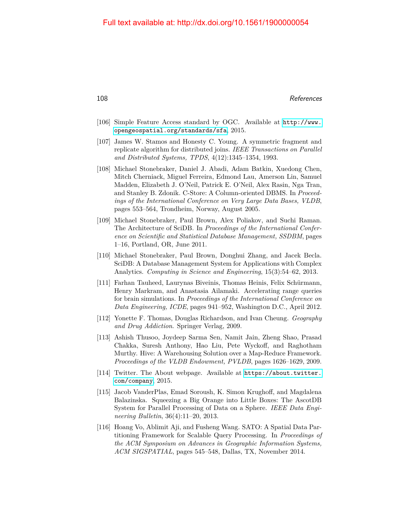- [106] Simple Feature Access standard by OGC. Available at [http://www.](http://www.opengeospatial.org/standards/sfa) [opengeospatial.org/standards/sfa](http://www.opengeospatial.org/standards/sfa), 2015.
- [107] James W. Stamos and Honesty C. Young. A symmetric fragment and replicate algorithm for distributed joins. *IEEE Transactions on Parallel and Distributed Systems, TPDS*, 4(12):1345–1354, 1993.
- <span id="page-28-4"></span>[108] Michael Stonebraker, Daniel J. Abadi, Adam Batkin, Xuedong Chen, Mitch Cherniack, Miguel Ferreira, Edmond Lau, Amerson Lin, Samuel Madden, Elizabeth J. O'Neil, Patrick E. O'Neil, Alex Rasin, Nga Tran, and Stanley B. Zdonik. C-Store: A Column-oriented DBMS. In *Proceedings of the International Conference on Very Large Data Bases, VLDB*, pages 553–564, Trondheim, Norway, August 2005.
- [109] Michael Stonebraker, Paul Brown, Alex Poliakov, and Suchi Raman. The Architecture of SciDB. In *Proceedings of the International Conference on Scientific and Statistical Database Management, SSDBM*, pages 1–16, Portland, OR, June 2011.
- <span id="page-28-5"></span>[110] Michael Stonebraker, Paul Brown, Donghui Zhang, and Jacek Becla. SciDB: A Database Management System for Applications with Complex Analytics. *Computing in Science and Engineering*, 15(3):54–62, 2013.
- <span id="page-28-1"></span>[111] Farhan Tauheed, Laurynas Biveinis, Thomas Heinis, Felix Schürmann, Henry Markram, and Anastasia Ailamaki. Accelerating range queries for brain simulations. In *Proceedings of the International Conference on Data Engineering, ICDE*, pages 941–952, Washington D.C., April 2012.
- <span id="page-28-2"></span>[112] Yonette F. Thomas, Douglas Richardson, and Ivan Cheung. *Geography and Drug Addiction*. Springer Verlag, 2009.
- <span id="page-28-3"></span>[113] Ashish Thusoo, Joydeep Sarma Sen, Namit Jain, Zheng Shao, Prasad Chakka, Suresh Anthony, Hao Liu, Pete Wyckoff, and Raghotham Murthy. Hive: A Warehousing Solution over a Map-Reduce Framework. *Proceedings of the VLDB Endowment, PVLDB*, pages 1626–1629, 2009.
- <span id="page-28-0"></span>[114] Twitter. The About webpage. Available at [https://about.twitter.](https://about.twitter.com/company) [com/company](https://about.twitter.com/company), 2015.
- <span id="page-28-6"></span>[115] Jacob VanderPlas, Emad Soroush, K. Simon Krughoff, and Magdalena Balazinska. Squeezing a Big Orange into Little Boxes: The AscotDB System for Parallel Processing of Data on a Sphere. *IEEE Data Engineering Bulletin*, 36(4):11–20, 2013.
- [116] Hoang Vo, Ablimit Aji, and Fusheng Wang. SATO: A Spatial Data Partitioning Framework for Scalable Query Processing. In *Proceedings of the ACM Symposium on Advances in Geographic Information Systems, ACM SIGSPATIAL*, pages 545–548, Dallas, TX, November 2014.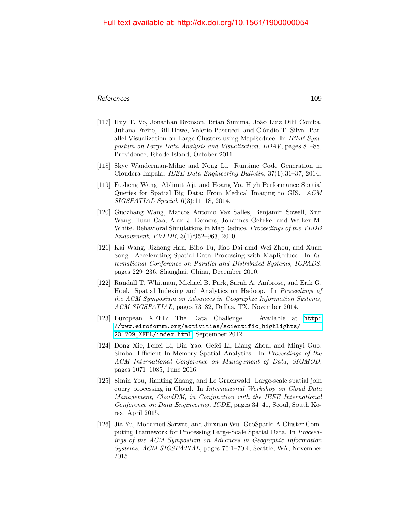#### References and the set of the set of the set of the set of the set of the set of the set of the set of the set of the set of the set of the set of the set of the set of the set of the set of the set of the set of the set o

- <span id="page-29-6"></span>[117] Huy T. Vo, Jonathan Bronson, Brian Summa, João Luiz Dihl Comba, Juliana Freire, Bill Howe, Valerio Pascucci, and Cláudio T. Silva. Parallel Visualization on Large Clusters using MapReduce. In *IEEE Symposium on Large Data Analysis and Visualization, LDAV*, pages 81–88, Providence, Rhode Island, October 2011.
- <span id="page-29-1"></span>[118] Skye Wanderman-Milne and Nong Li. Runtime Code Generation in Cloudera Impala. *IEEE Data Engineering Bulletin*, 37(1):31–37, 2014.
- [119] Fusheng Wang, Ablimit Aji, and Hoang Vo. High Performance Spatial Queries for Spatial Big Data: From Medical Imaging to GIS. *ACM SIGSPATIAL Special*, 6(3):11–18, 2014.
- <span id="page-29-7"></span>[120] Guozhang Wang, Marcos Antonio Vaz Salles, Benjamin Sowell, Xun Wang, Tuan Cao, Alan J. Demers, Johannes Gehrke, and Walker M. White. Behavioral Simulations in MapReduce. *Proceedings of the VLDB Endowment, PVLDB*, 3(1):952–963, 2010.
- <span id="page-29-5"></span>[121] Kai Wang, Jizhong Han, Bibo Tu, Jiao Dai amd Wei Zhou, and Xuan Song. Accelerating Spatial Data Processing with MapReduce. In *International Conference on Parallel and Distributed Systems, ICPADS*, pages 229–236, Shanghai, China, December 2010.
- <span id="page-29-2"></span>[122] Randall T. Whitman, Michael B. Park, Sarah A. Ambrose, and Erik G. Hoel. Spatial Indexing and Analytics on Hadoop. In *Proceedings of the ACM Symposium on Advances in Geographic Information Systems, ACM SIGSPATIAL*, pages 73–82, Dallas, TX, November 2014.
- <span id="page-29-0"></span>[123] European XFEL: The Data Challenge. Available at [http:](http://www.eiroforum.org/activities/scientific_highlights/201209_XFEL/index.html) [//www.eiroforum.org/activities/scientific\\_highlights/](http://www.eiroforum.org/activities/scientific_highlights/201209_XFEL/index.html) [201209\\_XFEL/index.html](http://www.eiroforum.org/activities/scientific_highlights/201209_XFEL/index.html), September 2012.
- <span id="page-29-3"></span>[124] Dong Xie, Feifei Li, Bin Yao, Gefei Li, Liang Zhou, and Minyi Guo. Simba: Efficient In-Memory Spatial Analytics. In *Proceedings of the ACM International Conference on Management of Data, SIGMOD*, pages 1071–1085, June 2016.
- <span id="page-29-8"></span>[125] Simin You, Jianting Zhang, and Le Gruenwald. Large-scale spatial join query processing in Cloud. In *International Workshop on Cloud Data Management, CloudDM, in Conjunction with the IEEE International Conference on Data Engineering, ICDE*, pages 34–41, Seoul, South Korea, April 2015.
- <span id="page-29-4"></span>[126] Jia Yu, Mohamed Sarwat, and Jinxuan Wu. GeoSpark: A Cluster Computing Framework for Processing Large-Scale Spatial Data. In *Proceedings of the ACM Symposium on Advances in Geographic Information Systems, ACM SIGSPATIAL*, pages 70:1–70:4, Seattle, WA, November 2015.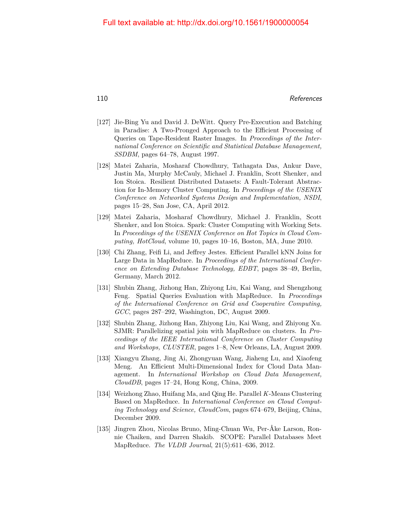- <span id="page-30-1"></span>[127] Jie-Bing Yu and David J. DeWitt. Query Pre-Execution and Batching in Paradise: A Two-Pronged Approach to the Efficient Processing of Queries on Tape-Resident Raster Images. In *Proceedings of the International Conference on Scientific and Statistical Database Management, SSDBM*, pages 64–78, August 1997.
- [128] Matei Zaharia, Mosharaf Chowdhury, Tathagata Das, Ankur Dave, Justin Ma, Murphy McCauly, Michael J. Franklin, Scott Shenker, and Ion Stoica. Resilient Distributed Datasets: A Fault-Tolerant Abstraction for In-Memory Cluster Computing. In *Proceedings of the USENIX Conference on Networked Systems Design and Implementation, NSDI*, pages 15–28, San Jose, CA, April 2012.
- <span id="page-30-0"></span>[129] Matei Zaharia, Mosharaf Chowdhury, Michael J. Franklin, Scott Shenker, and Ion Stoica. Spark: Cluster Computing with Working Sets. In *Proceedings of the USENIX Conference on Hot Topics in Cloud Computing, HotCloud*, volume 10, pages 10–16, Boston, MA, June 2010.
- <span id="page-30-6"></span>[130] Chi Zhang, Feifi Li, and Jeffrey Jestes. Efficient Parallel kNN Joins for Large Data in MapReduce. In *Proceedings of the International Conference on Extending Database Technology, EDBT*, pages 38–49, Berlin, Germany, March 2012.
- <span id="page-30-3"></span>[131] Shubin Zhang, Jizhong Han, Zhiyong Liu, Kai Wang, and Shengzhong Feng. Spatial Queries Evaluation with MapReduce. In *Proceedings of the International Conference on Grid and Cooperative Computing, GCC*, pages 287–292, Washington, DC, August 2009.
- <span id="page-30-4"></span>[132] Shubin Zhang, Jizhong Han, Zhiyong Liu, Kai Wang, and Zhiyong Xu. SJMR: Parallelizing spatial join with MapReduce on clusters. In *Proceedings of the IEEE International Conference on Cluster Computing and Workshops, CLUSTER*, pages 1–8, New Orleans, LA, August 2009.
- <span id="page-30-2"></span>[133] Xiangyu Zhang, Jing Ai, Zhongyuan Wang, Jiaheng Lu, and Xiaofeng Meng. An Efficient Multi-Dimensional Index for Cloud Data Management. In *International Workshop on Cloud Data Management, CloudDB*, pages 17–24, Hong Kong, China, 2009.
- <span id="page-30-5"></span>[134] Weizhong Zhao, Huifang Ma, and Qing He. Parallel *K*-Means Clustering Based on MapReduce. In *International Conference on Cloud Computing Technology and Science, CloudCom*, pages 674–679, Beijing, China, December 2009.
- [135] Jingren Zhou, Nicolas Bruno, Ming-Chuan Wu, Per-Åke Larson, Ronnie Chaiken, and Darren Shakib. SCOPE: Parallel Databases Meet MapReduce. *The VLDB Journal*, 21(5):611–636, 2012.